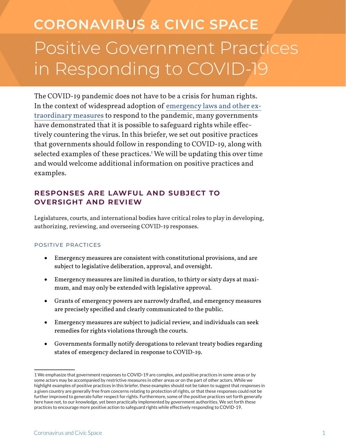# Positive Government Practices in Responding to COVID-19 **CORONAVIRUS & CIVIC SPACE**

The COVID-19 pandemic does not have to be a crisis for human rights. In the context of widespread adoption of emergency laws and other extraordinary measures to respond to the pandemic, many governments have demonstrated that it is possible to safeguard rights while effectively countering the virus. In this briefer, we set out positive practices that governments should follow in responding to COVID-19, along with selected examples of these practices.1 We will be updating this over time and would welcome additional information on positive practices and examples.

# **Responses are Lawful and Subject to Oversight and Review**

Legislatures, courts, and international bodies have critical roles to play in developing, authorizing, reviewing, and overseeing COVID-19 responses.

#### Positive Practices

- • Emergency measures are consistent with constitutional provisions, and are subject to legislative deliberation, approval, and oversight.
- • Emergency measures are limited in duration, to thirty or sixty days at maximum, and may only be extended with legislative approval.
- • Grants of emergency powers are narrowly drafted, and emergency measures are precisely specified and clearly communicated to the public.
- Emergency measures are subject to judicial review, and individuals can seek remedies for rights violations through the courts.
- • Governments formally notify derogations to relevant treaty bodies regarding states of emergency declared in response to COVID-19.

<sup>1</sup> We emphasize that government responses to COVID-19 are complex, and positive practices in some areas or by some actors may be accompanied by restrictive measures in other areas or on the part of other actors. While we highlight examples of positive practices in this briefer, these examples should not be taken to suggest that responses in a given country are generally free from concerns relating to protection of rights, or that these responses could not be further improved to generate fuller respect for rights. Furthermore, some of the positive practices set forth generally here have not, to our knowledge, yet been practically implemented by government authorities. We set forth these practices to encourage more positive action to safeguard rights while effectively responding to COVID-19.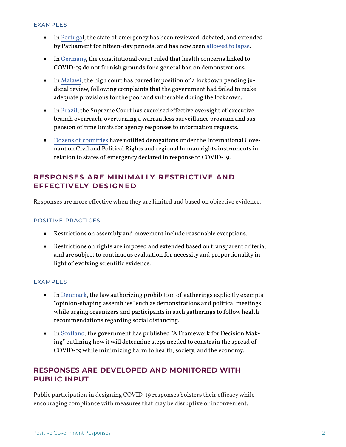#### EXAMPLES

- In Portugal, the state of emergency has been reviewed, debated, and extended by Parliament for fifteen-day periods, and has now been allowed to lapse.
- In Germany, the constitutional court ruled that health concerns linked to COVID-19 do not furnish grounds for a general ban on demonstrations.
- In Malawi, the high court has barred imposition of a lockdown pending judicial review, following complaints that the government had failed to make adequate provisions for the poor and vulnerable during the lockdown.
- In Brazil, the Supreme Court has exercised effective oversight of executive branch overreach, overturning a warrantless surveillance program and suspension of time limits for agency responses to information requests.
- • Dozens of countries have notified derogations under the International Covenant on Civil and Political Rights and regional human rights instruments in relation to states of emergency declared in response to COVID-19.

## **Responses are Minimally Restrictive and Effectively Designed**

Responses are more effective when they are limited and based on objective evidence.

#### POSITIVE PRACTICES

- • Restrictions on assembly and movement include reasonable exceptions.
- • Restrictions on rights are imposed and extended based on transparent criteria, and are subject to continuous evaluation for necessity and proportionality in light of evolving scientific evidence.

#### EXAMPLES

- In Denmark, the law authorizing prohibition of gatherings explicitly exempts "opinion-shaping assemblies" such as demonstrations and political meetings, while urging organizers and participants in such gatherings to follow health recommendations regarding social distancing.
- In Scotland, the government has published "A Framework for Decision Making" outlining how it will determine steps needed to constrain the spread of COVID-19 while minimizing harm to health, society, and the economy.

## **Responses are Developed and Monitored with Public Input**

Public participation in designing COVID-19 responses bolsters their efficacy while encouraging compliance with measures that may be disruptive or inconvenient.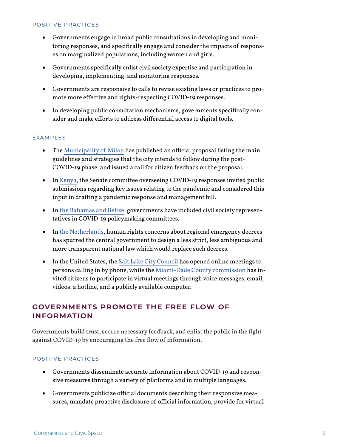#### POSITIVE PRACTICES

- • Governments engage in broad public consultations in developing and monitoring responses, and specifically engage and consider the impacts of responses on marginalized populations, including women and girls.
- • Governments specifically enlist civil society expertise and participation in developing, implementing, and monitoring responses.
- • Governments are responsive to calls to revise existing laws or practices to promote more effective and rights-respecting COVID-19 responses.
- • In developing public consultation mechanisms, governments specifically consider and make efforts to address differential access to digital tools.

#### EXAMPLES

- The Municipality of Milan has published an official proposal listing the main guidelines and strategies that the city intends to follow during the post-COVID-19 phase, and issued a call for citizen feedback on the proposal.
- In Kenya, the Senate committee overseeing COVID-19 responses invited public submissions regarding key issues relating to the pandemic and considered this input in drafting a pandemic response and management bill.
- In the Bahamas and Belize, governments have included civil society representatives in COVID-19 policymaking committees.
- In the Netherlands, human rights concerns about regional emergency decrees has spurred the central government to design a less strict, less ambiguous and more transparent national law which would replace such decrees.
- In the United States, the Salt Lake City Council has opened online meetings to persons calling in by phone, while the Miami-Dade County commission has invited citizens to participate in virtual meetings through voice messages, email, videos, a hotline, and a publicly available computer.

## **Governments Promote the Free Flow of Information**

Governments build trust, secure necessary feedback, and enlist the public in the fight against COVID-19 by encouraging the free flow of information.

#### POSITIVE PRACTICES

- • Governments disseminate accurate information about COVID-19 and responsive measures through a variety of platforms and in multiple languages.
- • Governments publicize official documents describing their responsive measures, mandate proactive disclosure of official information, provide for virtual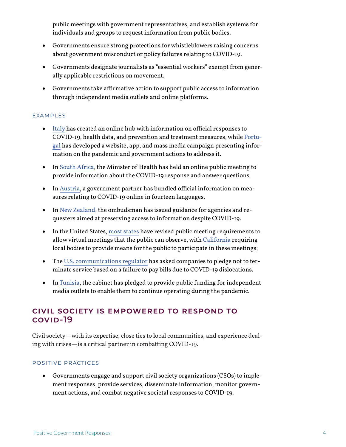public meetings with government representatives, and establish systems for individuals and groups to request information from public bodies.

- • Governments ensure strong protections for whistleblowers raising concerns about government misconduct or policy failures relating to COVID-19.
- • Governments designate journalists as "essential workers" exempt from generally applicable restrictions on movement.
- • Governments take affirmative action to support public access to information through independent media outlets and online platforms.

#### EXAMPLES

- • Italy has created an online hub with information on official responses to COVID-19, health data, and prevention and treatment measures, while Portugal has developed a website, app, and mass media campaign presenting information on the pandemic and government actions to address it.
- In South Africa, the Minister of Health has held an online public meeting to provide information about the COVID-19 response and answer questions.
- In Austria, a government partner has bundled official information on measures relating to COVID-19 online in fourteen languages.
- In New Zealand, the ombudsman has issued guidance for agencies and requesters aimed at preserving access to information despite COVID-19.
- In the United States, most states have revised public meeting requirements to allow virtual meetings that the public can observe, with California requiring local bodies to provide means for the public to participate in these meetings;
- The U.S. communications regulator has asked companies to pledge not to terminate service based on a failure to pay bills due to COVID-19 dislocations.
- In Tunisia, the cabinet has pledged to provide public funding for independent media outlets to enable them to continue operating during the pandemic.

## **Civil Society is Empowered to Respond to COVID-19**

Civil society—with its expertise, close ties to local communities, and experience dealing with crises—is a critical partner in combatting COVID-19.

#### POSITIVE PRACTICES

• Governments engage and support civil society organizations (CSOs) to implement responses, provide services, disseminate information, monitor government actions, and combat negative societal responses to COVID-19.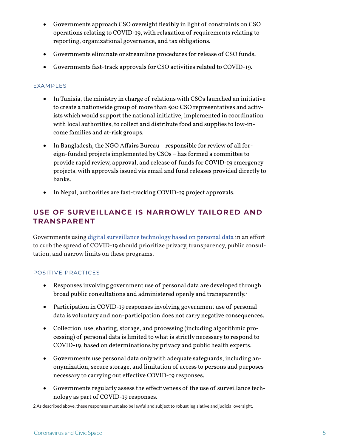- • Governments approach CSO oversight flexibly in light of constraints on CSO operations relating to COVID-19, with relaxation of requirements relating to reporting, organizational governance, and tax obligations.
- • Governments eliminate or streamline procedures for release of CSO funds.
- • Governments fast-track approvals for CSO activities related to COVID-19.

#### EXAMPLES

- • In Tunisia, the ministry in charge of relations with CSOs launched an initiative to create a nationwide group of more than 500 CSO representatives and activists which would support the national initiative, implemented in coordination with local authorities, to collect and distribute food and supplies to low-income families and at-risk groups.
- In Bangladesh, the NGO Affairs Bureau responsible for review of all foreign-funded projects implemented by CSOs – has formed a committee to provide rapid review, approval, and release of funds for COVID-19 emergency projects, with approvals issued via email and fund releases provided directly to banks.
- In Nepal, authorities are fast-tracking COVID-19 project approvals.

# **Use of Surveillance is Narrowly Tailored and Transparent**

Governments using digital surveillance technology based on personal data in an effort to curb the spread of COVID-19 should prioritize privacy, transparency, public consultation, and narrow limits on these programs.

#### POSITIVE PRACTICES

- Responses involving government use of personal data are developed through broad public consultations and administered openly and transparently.<sup>2</sup>
- • Participation in COVID-19 responses involving government use of personal data is voluntary and non-participation does not carry negative consequences.
- Collection, use, sharing, storage, and processing (including algorithmic processing) of personal data is limited to what is strictly necessary to respond to COVID-19, based on determinations by privacy and public health experts.
- • Governments use personal data only with adequate safeguards, including anonymization, secure storage, and limitation of access to persons and purposes necessary to carrying out effective COVID-19 responses.
- • Governments regularly assess the effectiveness of the use of surveillance technology as part of COVID-19 responses.

<sup>2</sup> As described above, these responses must also be lawful and subject to robust legislative and judicial oversight.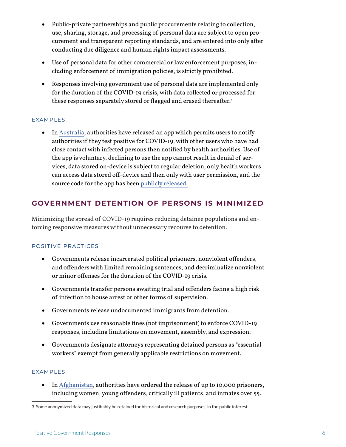- • Public-private partnerships and public procurements relating to collection, use, sharing, storage, and processing of personal data are subject to open procurement and transparent reporting standards, and are entered into only after conducting due diligence and human rights impact assessments.
- • Use of personal data for other commercial or law enforcement purposes, including enforcement of immigration policies, is strictly prohibited.
- Responses involving government use of personal data are implemented only for the duration of the COVID-19 crisis, with data collected or processed for these responses separately stored or flagged and erased thereafter.<sup>3</sup>

#### EXAMPLES

• In Australia, authorities have released an app which permits users to notify authorities if they test positive for COVID-19, with other users who have had close contact with infected persons then notified by health authorities. Use of the app is voluntary, declining to use the app cannot result in denial of services, data stored on-device is subject to regular deletion, only health workers can access data stored off-device and then only with user permission, and the source code for the app has been publicly released.

## **Government Detention of Persons is Minimized**

Minimizing the spread of COVID-19 requires reducing detainee populations and enforcing responsive measures without unnecessary recourse to detention.

#### POSITIVE PRACTICES

- • Governments release incarcerated political prisoners, nonviolent offenders, and offenders with limited remaining sentences, and decriminalize nonviolent or minor offenses for the duration of the COVID-19 crisis.
- • Governments transfer persons awaiting trial and offenders facing a high risk of infection to house arrest or other forms of supervision.
- • Governments release undocumented immigrants from detention.
- • Governments use reasonable fines (not imprisonment) to enforce COVID-19 responses, including limitations on movement, assembly, and expression.
- • Governments designate attorneys representing detained persons as "essential workers" exempt from generally applicable restrictions on movement.

#### EXAMPLES

• In Afghanistan, authorities have ordered the release of up to 10,000 prisoners, including women, young offenders, critically ill patients, and inmates over 55.

<sup>3</sup> Some anonymized data may justifiably be retained for historical and research purposes, in the public interest.